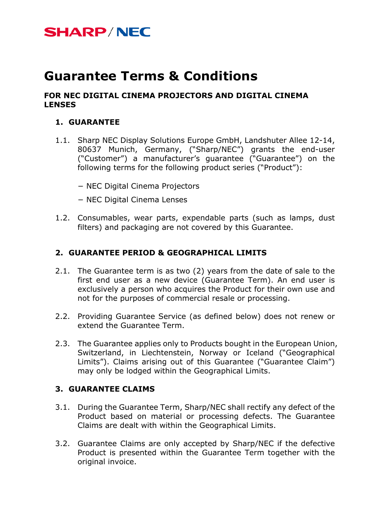## **Guarantee Terms & Conditions**

#### **FOR NEC DIGITAL CINEMA PROJECTORS AND DIGITAL CINEMA LENSES**

#### **1. GUARANTEE**

- 1.1. Sharp NEC Display Solutions Europe GmbH, Landshuter Allee 12-14, 80637 Munich, Germany, ("Sharp/NEC") grants the end-user ("Customer") a manufacturer's guarantee ("Guarantee") on the following terms for the following product series ("Product"):
	- − NEC Digital Cinema Projectors
	- − NEC Digital Cinema Lenses
- 1.2. Consumables, wear parts, expendable parts (such as lamps, dust filters) and packaging are not covered by this Guarantee.

### **2. GUARANTEE PERIOD & GEOGRAPHICAL LIMITS**

- 2.1. The Guarantee term is as two (2) years from the date of sale to the first end user as a new device (Guarantee Term). An end user is exclusively a person who acquires the Product for their own use and not for the purposes of commercial resale or processing.
- 2.2. Providing Guarantee Service (as defined below) does not renew or extend the Guarantee Term.
- 2.3. The Guarantee applies only to Products bought in the European Union, Switzerland, in Liechtenstein, Norway or Iceland ("Geographical Limits"). Claims arising out of this Guarantee ("Guarantee Claim") may only be lodged within the Geographical Limits.

#### **3. GUARANTEE CLAIMS**

- 3.1. During the Guarantee Term, Sharp/NEC shall rectify any defect of the Product based on material or processing defects. The Guarantee Claims are dealt with within the Geographical Limits.
- 3.2. Guarantee Claims are only accepted by Sharp/NEC if the defective Product is presented within the Guarantee Term together with the original invoice.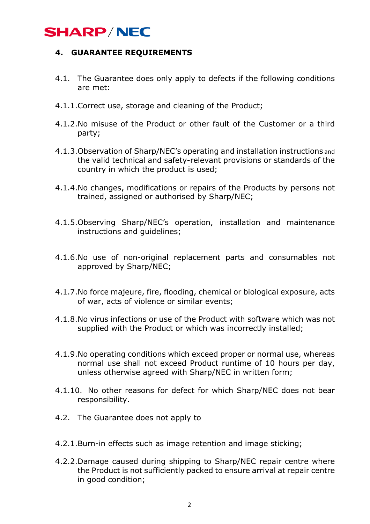### **4. GUARANTEE REQUIREMENTS**

- 4.1. The Guarantee does only apply to defects if the following conditions are met:
- 4.1.1.Correct use, storage and cleaning of the Product;
- 4.1.2.No misuse of the Product or other fault of the Customer or a third party;
- 4.1.3.Observation of Sharp/NEC's operating and installation instructions and the valid technical and safety-relevant provisions or standards of the country in which the product is used;
- 4.1.4.No changes, modifications or repairs of the Products by persons not trained, assigned or authorised by Sharp/NEC;
- 4.1.5.Observing Sharp/NEC's operation, installation and maintenance instructions and guidelines;
- 4.1.6.No use of non-original replacement parts and consumables not approved by Sharp/NEC;
- 4.1.7.No force majeure, fire, flooding, chemical or biological exposure, acts of war, acts of violence or similar events;
- 4.1.8.No virus infections or use of the Product with software which was not supplied with the Product or which was incorrectly installed;
- 4.1.9.No operating conditions which exceed proper or normal use, whereas normal use shall not exceed Product runtime of 10 hours per day, unless otherwise agreed with Sharp/NEC in written form;
- 4.1.10. No other reasons for defect for which Sharp/NEC does not bear responsibility.
- 4.2. The Guarantee does not apply to
- 4.2.1.Burn-in effects such as image retention and image sticking;
- 4.2.2.Damage caused during shipping to Sharp/NEC repair centre where the Product is not sufficiently packed to ensure arrival at repair centre in good condition;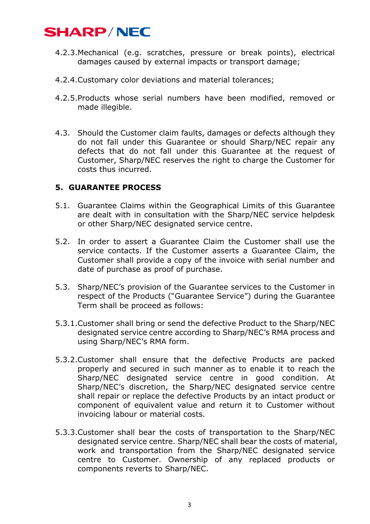- 4.2.3.Mechanical (e.g. scratches, pressure or break points), electrical damages caused by external impacts or transport damage;
- 4.2.4.Customary color deviations and material tolerances;
- 4.2.5.Products whose serial numbers have been modified, removed or made illegible.
- 4.3. Should the Customer claim faults, damages or defects although they do not fall under this Guarantee or should Sharp/NEC repair any defects that do not fall under this Guarantee at the request of Customer, Sharp/NEC reserves the right to charge the Customer for costs thus incurred.

#### **5. GUARANTEE PROCESS**

- 5.1. Guarantee Claims within the Geographical Limits of this Guarantee are dealt with in consultation with the Sharp/NEC service helpdesk or other Sharp/NEC designated service centre.
- 5.2. In order to assert a Guarantee Claim the Customer shall use the service contacts. If the Customer asserts a Guarantee Claim, the Customer shall provide a copy of the invoice with serial number and date of purchase as proof of purchase.
- 5.3. Sharp/NEC's provision of the Guarantee services to the Customer in respect of the Products ("Guarantee Service") during the Guarantee Term shall be proceed as follows:
- 5.3.1.Customer shall bring or send the defective Product to the Sharp/NEC designated service centre according to Sharp/NEC's RMA process and using Sharp/NEC's RMA form.
- 5.3.2.Customer shall ensure that the defective Products are packed properly and secured in such manner as to enable it to reach the Sharp/NEC designated service centre in good condition. At Sharp/NEC's discretion, the Sharp/NEC designated service centre shall repair or replace the defective Products by an intact product or component of equivalent value and return it to Customer without invoicing labour or material costs.
- 5.3.3.Customer shall bear the costs of transportation to the Sharp/NEC designated service centre. Sharp/NEC shall bear the costs of material, work and transportation from the Sharp/NEC designated service centre to Customer. Ownership of any replaced products or components reverts to Sharp/NEC.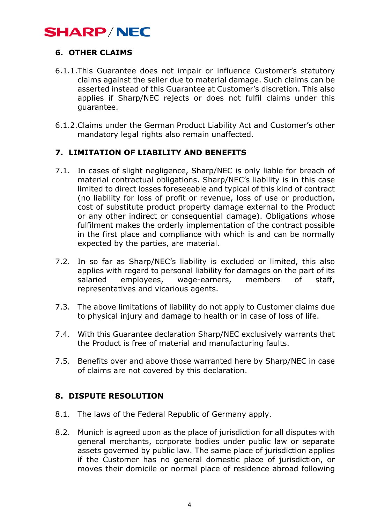### **6. OTHER CLAIMS**

- 6.1.1.This Guarantee does not impair or influence Customer's statutory claims against the seller due to material damage. Such claims can be asserted instead of this Guarantee at Customer's discretion. This also applies if Sharp/NEC rejects or does not fulfil claims under this guarantee.
- 6.1.2.Claims under the German Product Liability Act and Customer's other mandatory legal rights also remain unaffected.

### **7. LIMITATION OF LIABILITY AND BENEFITS**

- 7.1. In cases of slight negligence, Sharp/NEC is only liable for breach of material contractual obligations. Sharp/NEC's liability is in this case limited to direct losses foreseeable and typical of this kind of contract (no liability for loss of profit or revenue, loss of use or production, cost of substitute product property damage external to the Product or any other indirect or consequential damage). Obligations whose fulfilment makes the orderly implementation of the contract possible in the first place and compliance with which is and can be normally expected by the parties, are material.
- 7.2. In so far as Sharp/NEC's liability is excluded or limited, this also applies with regard to personal liability for damages on the part of its salaried employees, wage-earners, members of staff, representatives and vicarious agents.
- 7.3. The above limitations of liability do not apply to Customer claims due to physical injury and damage to health or in case of loss of life.
- 7.4. With this Guarantee declaration Sharp/NEC exclusively warrants that the Product is free of material and manufacturing faults.
- 7.5. Benefits over and above those warranted here by Sharp/NEC in case of claims are not covered by this declaration.

### **8. DISPUTE RESOLUTION**

- 8.1. The laws of the Federal Republic of Germany apply.
- 8.2. Munich is agreed upon as the place of jurisdiction for all disputes with general merchants, corporate bodies under public law or separate assets governed by public law. The same place of jurisdiction applies if the Customer has no general domestic place of jurisdiction, or moves their domicile or normal place of residence abroad following